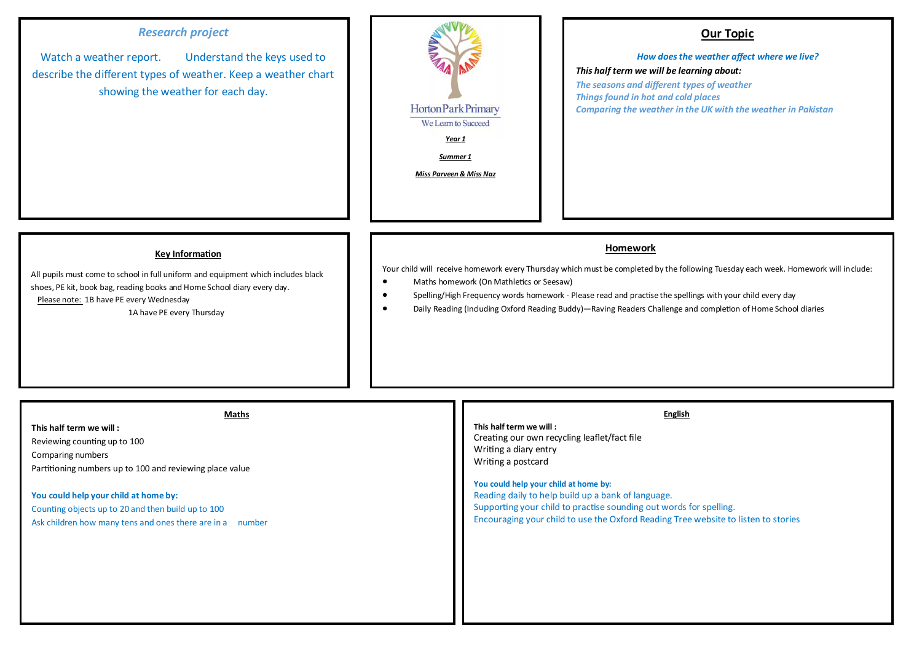# *Research project*

Watch a weather report. Understand the keys used to describe the different types of weather. Keep a weather chart showing the weather for each day.



## **Our Topic**

## *How does the weather affect where we live? This half term we will be learning about:*

*The seasons and different types of weather Things found in hot and cold places Comparing the weather in the UK with the weather in Pakistan*

#### **Key Information**

All pupils must come to school in full uniform and equipment which includes black shoes, PE kit, book bag, reading books and Home School diary every day. Please note: 1B have PE every Wednesday 1A have PE every Thursday

### **Homework**

Your child will receive homework every Thursday which must be completed by the following Tuesday each week. Homework will include:

- Maths homework (On Mathletics or Seesaw)
- Spelling/High Frequency words homework Please read and practise the spellings with your child every day
- Daily Reading (Including Oxford Reading Buddy)—Raving Readers Challenge and completion of Home School diaries

| Reading daily to help build up a bank of language.<br>You could help your child at home by:<br>Supporting your child to practise sounding out words for spelling.<br>Counting objects up to 20 and then build up to 100<br>Encouraging your child to use the Oxford Reading Tree website to listen to stories<br>Ask children how many tens and ones there are in a number |
|----------------------------------------------------------------------------------------------------------------------------------------------------------------------------------------------------------------------------------------------------------------------------------------------------------------------------------------------------------------------------|
|----------------------------------------------------------------------------------------------------------------------------------------------------------------------------------------------------------------------------------------------------------------------------------------------------------------------------------------------------------------------------|